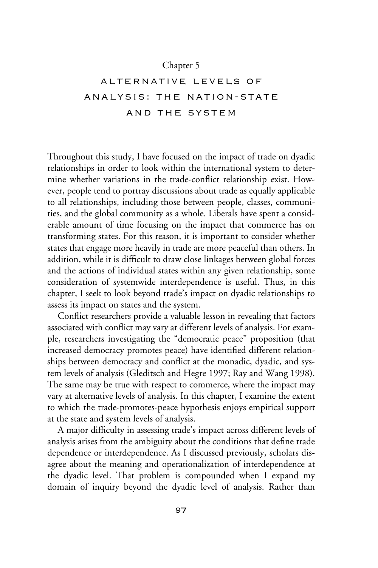# Chapter 5

# alternative levels of analysis: the nation-state and the system

Throughout this study, I have focused on the impact of trade on dyadic relationships in order to look within the international system to determine whether variations in the trade-conflict relationship exist. However, people tend to portray discussions about trade as equally applicable to all relationships, including those between people, classes, communities, and the global community as a whole. Liberals have spent a considerable amount of time focusing on the impact that commerce has on transforming states. For this reason, it is important to consider whether states that engage more heavily in trade are more peaceful than others. In addition, while it is difficult to draw close linkages between global forces and the actions of individual states within any given relationship, some consideration of systemwide interdependence is useful. Thus, in this chapter, I seek to look beyond trade's impact on dyadic relationships to assess its impact on states and the system.

Conflict researchers provide a valuable lesson in revealing that factors associated with conflict may vary at different levels of analysis. For example, researchers investigating the "democratic peace" proposition (that increased democracy promotes peace) have identified different relationships between democracy and conflict at the monadic, dyadic, and system levels of analysis (Gleditsch and Hegre 1997; Ray and Wang 1998). The same may be true with respect to commerce, where the impact may vary at alternative levels of analysis. In this chapter, I examine the extent to which the trade-promotes-peace hypothesis enjoys empirical support at the state and system levels of analysis.

A major difficulty in assessing trade's impact across different levels of analysis arises from the ambiguity about the conditions that define trade dependence or interdependence. As I discussed previously, scholars disagree about the meaning and operationalization of interdependence at the dyadic level. That problem is compounded when I expand my domain of inquiry beyond the dyadic level of analysis. Rather than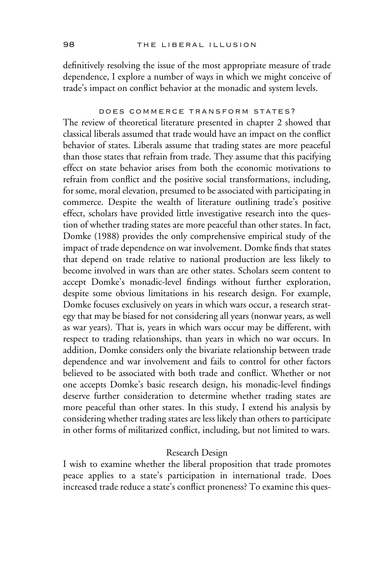definitively resolving the issue of the most appropriate measure of trade dependence, I explore a number of ways in which we might conceive of trade's impact on conflict behavior at the monadic and system levels.

## does commerce transform states?

The review of theoretical literature presented in chapter 2 showed that classical liberals assumed that trade would have an impact on the conflict behavior of states. Liberals assume that trading states are more peaceful than those states that refrain from trade. They assume that this pacifying effect on state behavior arises from both the economic motivations to refrain from conflict and the positive social transformations, including, for some, moral elevation, presumed to be associated with participating in commerce. Despite the wealth of literature outlining trade's positive effect, scholars have provided little investigative research into the question of whether trading states are more peaceful than other states. In fact, Domke (1988) provides the only comprehensive empirical study of the impact of trade dependence on war involvement. Domke finds that states that depend on trade relative to national production are less likely to become involved in wars than are other states. Scholars seem content to accept Domke's monadic-level findings without further exploration, despite some obvious limitations in his research design. For example, Domke focuses exclusively on years in which wars occur, a research strategy that may be biased for not considering all years (nonwar years, as well as war years). That is, years in which wars occur may be different, with respect to trading relationships, than years in which no war occurs. In addition, Domke considers only the bivariate relationship between trade dependence and war involvement and fails to control for other factors believed to be associated with both trade and conflict. Whether or not one accepts Domke's basic research design, his monadic-level findings deserve further consideration to determine whether trading states are more peaceful than other states. In this study, I extend his analysis by considering whether trading states are less likely than others to participate in other forms of militarized conflict, including, but not limited to wars.

#### Research Design

I wish to examine whether the liberal proposition that trade promotes peace applies to a state's participation in international trade. Does increased trade reduce a state's conflict proneness? To examine this ques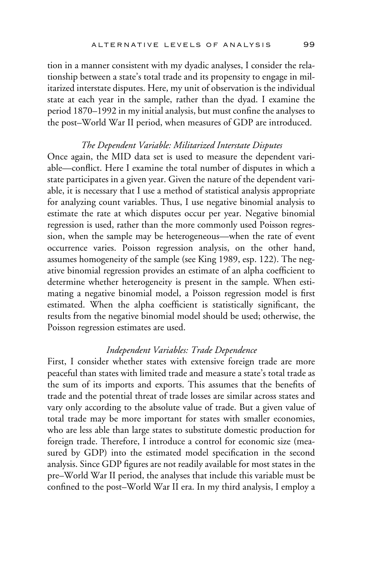tion in a manner consistent with my dyadic analyses, I consider the relationship between a state's total trade and its propensity to engage in militarized interstate disputes. Here, my unit of observation is the individual state at each year in the sample, rather than the dyad. I examine the period 1870–1992 in my initial analysis, but must confine the analyses to the post–World War II period, when measures of GDP are introduced.

#### *The Dependent Variable: Militarized Interstate Disputes*

Once again, the MID data set is used to measure the dependent variable—conflict. Here I examine the total number of disputes in which a state participates in a given year. Given the nature of the dependent variable, it is necessary that I use a method of statistical analysis appropriate for analyzing count variables. Thus, I use negative binomial analysis to estimate the rate at which disputes occur per year. Negative binomial regression is used, rather than the more commonly used Poisson regression, when the sample may be heterogeneous—when the rate of event occurrence varies. Poisson regression analysis, on the other hand, assumes homogeneity of the sample (see King 1989, esp. 122). The negative binomial regression provides an estimate of an alpha coefficient to determine whether heterogeneity is present in the sample. When estimating a negative binomial model, a Poisson regression model is first estimated. When the alpha coefficient is statistically significant, the results from the negative binomial model should be used; otherwise, the Poisson regression estimates are used.

### *Independent Variables: Trade Dependence*

First, I consider whether states with extensive foreign trade are more peaceful than states with limited trade and measure a state's total trade as the sum of its imports and exports. This assumes that the benefits of trade and the potential threat of trade losses are similar across states and vary only according to the absolute value of trade. But a given value of total trade may be more important for states with smaller economies, who are less able than large states to substitute domestic production for foreign trade. Therefore, I introduce a control for economic size (measured by GDP) into the estimated model specification in the second analysis. Since GDP figures are not readily available for most states in the pre–World War II period, the analyses that include this variable must be confined to the post–World War II era. In my third analysis, I employ a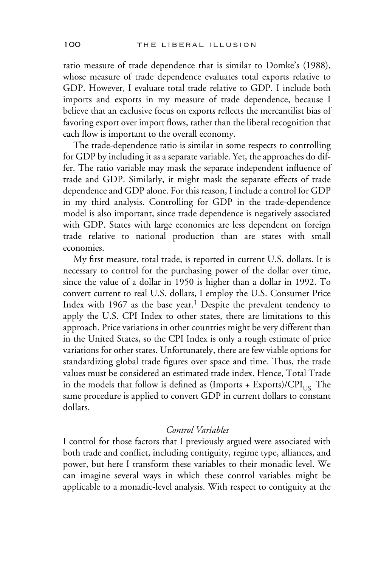ratio measure of trade dependence that is similar to Domke's (1988), whose measure of trade dependence evaluates total exports relative to GDP. However, I evaluate total trade relative to GDP. I include both imports and exports in my measure of trade dependence, because I believe that an exclusive focus on exports reflects the mercantilist bias of favoring export over import flows, rather than the liberal recognition that each flow is important to the overall economy.

The trade-dependence ratio is similar in some respects to controlling for GDP by including it as a separate variable. Yet, the approaches do differ. The ratio variable may mask the separate independent influence of trade and GDP. Similarly, it might mask the separate effects of trade dependence and GDP alone. For this reason, I include a control for GDP in my third analysis. Controlling for GDP in the trade-dependence model is also important, since trade dependence is negatively associated with GDP. States with large economies are less dependent on foreign trade relative to national production than are states with small economies.

My first measure, total trade, is reported in current U.S. dollars. It is necessary to control for the purchasing power of the dollar over time, since the value of a dollar in 1950 is higher than a dollar in 1992. To convert current to real U.S. dollars, I employ the U.S. Consumer Price Index with  $1967$  as the base year.<sup>1</sup> Despite the prevalent tendency to apply the U.S. CPI Index to other states, there are limitations to this approach. Price variations in other countries might be very different than in the United States, so the CPI Index is only a rough estimate of price variations for other states. Unfortunately, there are few viable options for standardizing global trade figures over space and time. Thus, the trade values must be considered an estimated trade index. Hence, Total Trade in the models that follow is defined as  $($ Imports + Exports $)/CPI<sub>US</sub>$ . The same procedure is applied to convert GDP in current dollars to constant dollars.

## *Control Variables*

I control for those factors that I previously argued were associated with both trade and conflict, including contiguity, regime type, alliances, and power, but here I transform these variables to their monadic level. We can imagine several ways in which these control variables might be applicable to a monadic-level analysis. With respect to contiguity at the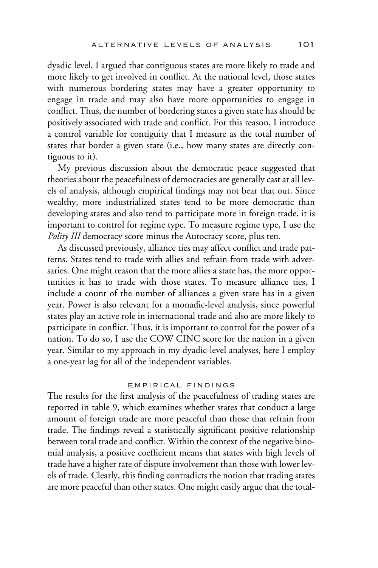dyadic level, I argued that contiguous states are more likely to trade and more likely to get involved in conflict. At the national level, those states with numerous bordering states may have a greater opportunity to engage in trade and may also have more opportunities to engage in conflict. Thus, the number of bordering states a given state has should be positively associated with trade and conflict. For this reason, I introduce a control variable for contiguity that I measure as the total number of states that border a given state (i.e., how many states are directly contiguous to it).

My previous discussion about the democratic peace suggested that theories about the peacefulness of democracies are generally cast at all levels of analysis, although empirical findings may not bear that out. Since wealthy, more industrialized states tend to be more democratic than developing states and also tend to participate more in foreign trade, it is important to control for regime type. To measure regime type, I use the *Polity III* democracy score minus the Autocracy score, plus ten.

As discussed previously, alliance ties may affect conflict and trade patterns. States tend to trade with allies and refrain from trade with adversaries. One might reason that the more allies a state has, the more opportunities it has to trade with those states. To measure alliance ties, I include a count of the number of alliances a given state has in a given year. Power is also relevant for a monadic-level analysis, since powerful states play an active role in international trade and also are more likely to participate in conflict. Thus, it is important to control for the power of a nation. To do so, I use the COW CINC score for the nation in a given year. Similar to my approach in my dyadic-level analyses, here I employ a one-year lag for all of the independent variables.

## empirical findings

The results for the first analysis of the peacefulness of trading states are reported in table 9, which examines whether states that conduct a large amount of foreign trade are more peaceful than those that refrain from trade. The findings reveal a statistically significant positive relationship between total trade and conflict. Within the context of the negative binomial analysis, a positive coefficient means that states with high levels of trade have a higher rate of dispute involvement than those with lower levels of trade. Clearly, this finding contradicts the notion that trading states are more peaceful than other states. One might easily argue that the total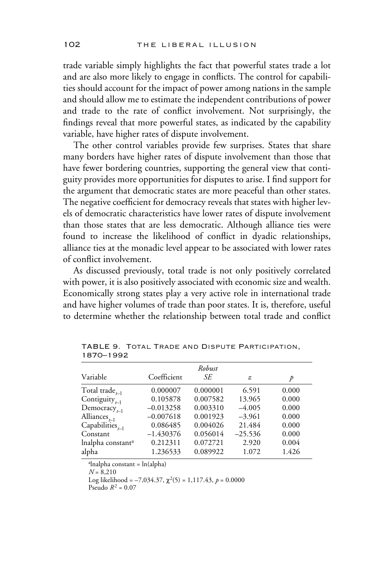trade variable simply highlights the fact that powerful states trade a lot and are also more likely to engage in conflicts. The control for capabilities should account for the impact of power among nations in the sample and should allow me to estimate the independent contributions of power and trade to the rate of conflict involvement. Not surprisingly, the findings reveal that more powerful states, as indicated by the capability variable, have higher rates of dispute involvement.

The other control variables provide few surprises. States that share many borders have higher rates of dispute involvement than those that have fewer bordering countries, supporting the general view that contiguity provides more opportunities for disputes to arise. I find support for the argument that democratic states are more peaceful than other states. The negative coefficient for democracy reveals that states with higher levels of democratic characteristics have lower rates of dispute involvement than those states that are less democratic. Although alliance ties were found to increase the likelihood of conflict in dyadic relationships, alliance ties at the monadic level appear to be associated with lower rates of conflict involvement.

As discussed previously, total trade is not only positively correlated with power, it is also positively associated with economic size and wealth. Economically strong states play a very active role in international trade and have higher volumes of trade than poor states. It is, therefore, useful to determine whether the relationship between total trade and conflict

| Variable                              | Coefficient | Robust<br>SЕ | z         | p     |
|---------------------------------------|-------------|--------------|-----------|-------|
| Total trade $_{t=1}$                  | 0.000007    | 0.000001     | 6.591     | 0.000 |
| Contiguity $_{t=1}$                   | 0.105878    | 0.007582     | 13.965    | 0.000 |
| Democracy <sub><math>t-1</math></sub> | $-0.013258$ | 0.003310     | $-4.005$  | 0.000 |
| Alliances <sub><math>t-1</math></sub> | $-0.007618$ | 0.001923     | $-3.961$  | 0.000 |
| Capabilities $_{t=1}$                 | 0.086485    | 0.004026     | 21.484    | 0.000 |
| Constant                              | $-1.430376$ | 0.056014     | $-25.536$ | 0.000 |
| Inalpha constant <sup>a</sup>         | 0.212311    | 0.072721     | 2.920     | 0.004 |
| alpha                                 | 1.236533    | 0.089922     | 1.072     | 1.426 |

TABLE 9. Total Trade and Dispute Participation, 1870–1992

a lnalpha constant = ln(alpha)

*N* = 8,210

Log likelihood =  $-7,034.37$ ,  $\chi^2(5) = 1,117.43$ ,  $p = 0.0000$ 

Pseudo  $R^2 = 0.07$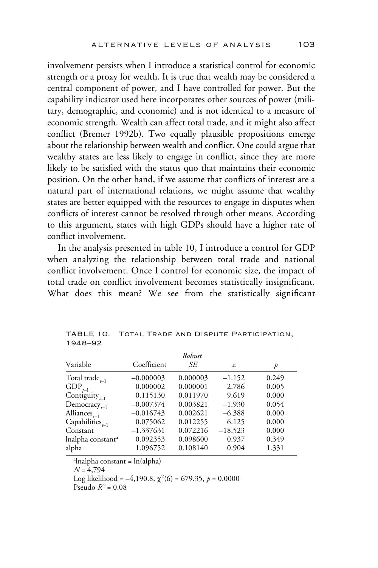involvement persists when I introduce a statistical control for economic strength or a proxy for wealth. It is true that wealth may be considered a central component of power, and I have controlled for power. But the capability indicator used here incorporates other sources of power (military, demographic, and economic) and is not identical to a measure of economic strength. Wealth can affect total trade, and it might also affect conflict (Bremer 1992b). Two equally plausible propositions emerge about the relationship between wealth and conflict. One could argue that wealthy states are less likely to engage in conflict, since they are more likely to be satisfied with the status quo that maintains their economic position. On the other hand, if we assume that conflicts of interest are a natural part of international relations, we might assume that wealthy states are better equipped with the resources to engage in disputes when conflicts of interest cannot be resolved through other means. According to this argument, states with high GDPs should have a higher rate of conflict involvement.

In the analysis presented in table 10, I introduce a control for GDP when analyzing the relationship between total trade and national conflict involvement. Once I control for economic size, the impact of total trade on conflict involvement becomes statistically insignificant. What does this mean? We see from the statistically significant

|                                       |             | Robust   |           |       |
|---------------------------------------|-------------|----------|-----------|-------|
| Variable                              | Coefficient | SE       | z         | p     |
| Total trade $_{t=1}$                  | $-0.000003$ | 0.000003 | $-1.152$  | 0.249 |
| $GDP_{t-1}$                           | 0.000002    | 0.000001 | 2.786     | 0.005 |
| Contiguity $_{t-1}$                   | 0.115130    | 0.011970 | 9.619     | 0.000 |
| Democracy <sub><math>t-1</math></sub> | $-0.007374$ | 0.003821 | $-1.930$  | 0.054 |
| Alliances $_{t-1}$                    | $-0.016743$ | 0.002621 | $-6.388$  | 0.000 |
| Capabilities $_{t=1}$                 | 0.075062    | 0.012255 | 6.125     | 0.000 |
| Constant                              | $-1.337631$ | 0.072216 | $-18.523$ | 0.000 |
| lnalpha constant <sup>a</sup>         | 0.092353    | 0.098600 | 0.937     | 0.349 |
| alpha                                 | 1.096752    | 0.108140 | 0.904     | 1.331 |

TABLE 10. Total Trade and Dispute Participation, 1948–92

a lnalpha constant = ln(alpha)

*N* = 4,794

Log likelihood =  $-4,190.8$ ,  $\chi^2(6)$  = 679.35,  $p = 0.0000$ 

Pseudo  $R^2 = 0.08$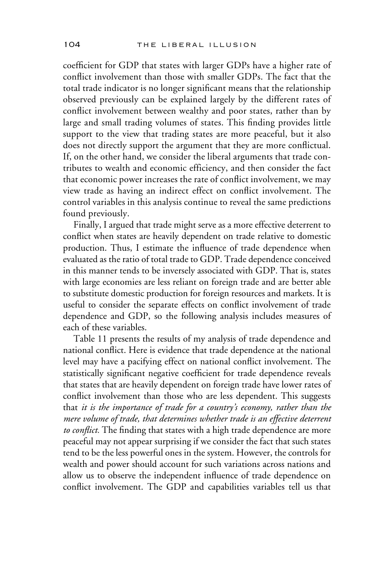coefficient for GDP that states with larger GDPs have a higher rate of conflict involvement than those with smaller GDPs. The fact that the total trade indicator is no longer significant means that the relationship observed previously can be explained largely by the different rates of conflict involvement between wealthy and poor states, rather than by large and small trading volumes of states. This finding provides little support to the view that trading states are more peaceful, but it also does not directly support the argument that they are more conflictual. If, on the other hand, we consider the liberal arguments that trade contributes to wealth and economic efficiency, and then consider the fact that economic power increases the rate of conflict involvement, we may view trade as having an indirect effect on conflict involvement. The control variables in this analysis continue to reveal the same predictions found previously.

Finally, I argued that trade might serve as a more effective deterrent to conflict when states are heavily dependent on trade relative to domestic production. Thus, I estimate the influence of trade dependence when evaluated as the ratio of total trade to GDP. Trade dependence conceived in this manner tends to be inversely associated with GDP. That is, states with large economies are less reliant on foreign trade and are better able to substitute domestic production for foreign resources and markets. It is useful to consider the separate effects on conflict involvement of trade dependence and GDP, so the following analysis includes measures of each of these variables.

Table 11 presents the results of my analysis of trade dependence and national conflict. Here is evidence that trade dependence at the national level may have a pacifying effect on national conflict involvement. The statistically significant negative coefficient for trade dependence reveals that states that are heavily dependent on foreign trade have lower rates of conflict involvement than those who are less dependent. This suggests that *it is the importance of trade for a country's economy, rather than the mere volume of trade, that determines whether trade is an effective deterrent* to conflict. The finding that states with a high trade dependence are more peaceful may not appear surprising if we consider the fact that such states tend to be the less powerful ones in the system. However, the controls for wealth and power should account for such variations across nations and allow us to observe the independent influence of trade dependence on conflict involvement. The GDP and capabilities variables tell us that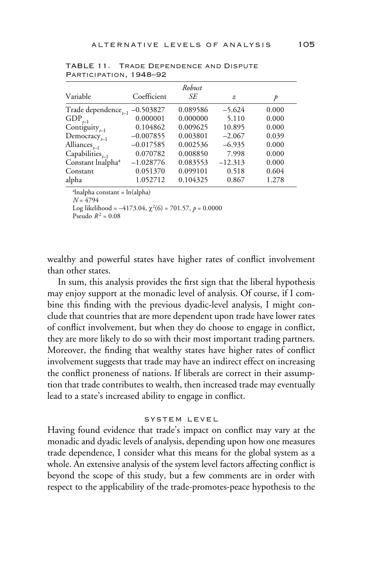| Coefficient | Robust<br>SЕ | z         | D     |
|-------------|--------------|-----------|-------|
| $-0.503827$ | 0.089586     | $-5.624$  | 0.000 |
| 0.000001    | 0.000000     | 5.110     | 0.000 |
| 0.104862    | 0.009625     | 10.895    | 0.000 |
| $-0.007855$ | 0.003801     | $-2.067$  | 0.039 |
| $-0.017585$ | 0.002536     | $-6.935$  | 0.000 |
| 0.070782    | 0.008850     | 7.998     | 0.000 |
| $-1.028776$ | 0.083553     | $-12.313$ | 0.000 |
| 0.051370    | 0.099101     | 0.518     | 0.604 |
| 1.052712    | 0.104325     | 0.867     | 1.278 |
|             |              |           |       |

TABLE 11. Trade Dependence and Dispute Participation, 1948–92

a lnalpha constant = ln(alpha)

*N* = 4794

Log likelihood =  $-4173.04$ ,  $\chi^2(6) = 701.57$ ,  $p = 0.0000$ 

Pseudo  $R^2 = 0.08$ 

wealthy and powerful states have higher rates of conflict involvement than other states.

In sum, this analysis provides the first sign that the liberal hypothesis may enjoy support at the monadic level of analysis. Of course, if I combine this finding with the previous dyadic-level analysis, I might conclude that countries that are more dependent upon trade have lower rates of conflict involvement, but when they do choose to engage in conflict, they are more likely to do so with their most important trading partners. Moreover, the finding that wealthy states have higher rates of conflict involvement suggests that trade may have an indirect effect on increasing the conflict proneness of nations. If liberals are correct in their assumption that trade contributes to wealth, then increased trade may eventually lead to a state's increased ability to engage in conflict.

#### system level

Having found evidence that trade's impact on conflict may vary at the monadic and dyadic levels of analysis, depending upon how one measures trade dependence, I consider what this means for the global system as a whole. An extensive analysis of the system level factors affecting conflict is beyond the scope of this study, but a few comments are in order with respect to the applicability of the trade-promotes-peace hypothesis to the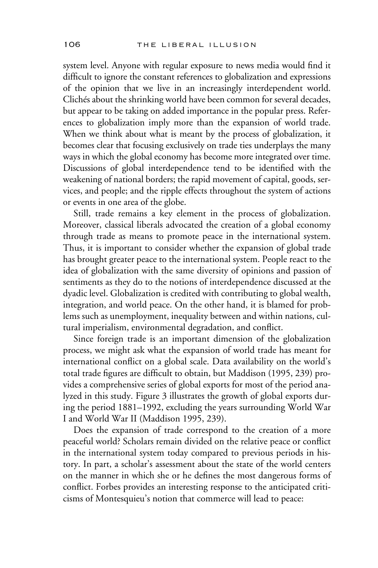system level. Anyone with regular exposure to news media would find it difficult to ignore the constant references to globalization and expressions of the opinion that we live in an increasingly interdependent world. Clichés about the shrinking world have been common for several decades, but appear to be taking on added importance in the popular press. References to globalization imply more than the expansion of world trade. When we think about what is meant by the process of globalization, it becomes clear that focusing exclusively on trade ties underplays the many ways in which the global economy has become more integrated over time. Discussions of global interdependence tend to be identified with the weakening of national borders; the rapid movement of capital, goods, services, and people; and the ripple effects throughout the system of actions or events in one area of the globe.

Still, trade remains a key element in the process of globalization. Moreover, classical liberals advocated the creation of a global economy through trade as means to promote peace in the international system. Thus, it is important to consider whether the expansion of global trade has brought greater peace to the international system. People react to the idea of globalization with the same diversity of opinions and passion of sentiments as they do to the notions of interdependence discussed at the dyadic level. Globalization is credited with contributing to global wealth, integration, and world peace. On the other hand, it is blamed for problems such as unemployment, inequality between and within nations, cultural imperialism, environmental degradation, and conflict.

Since foreign trade is an important dimension of the globalization process, we might ask what the expansion of world trade has meant for international conflict on a global scale. Data availability on the world's total trade figures are difficult to obtain, but Maddison (1995, 239) provides a comprehensive series of global exports for most of the period analyzed in this study. Figure 3 illustrates the growth of global exports during the period 1881–1992, excluding the years surrounding World War I and World War II (Maddison 1995, 239).

Does the expansion of trade correspond to the creation of a more peaceful world? Scholars remain divided on the relative peace or conflict in the international system today compared to previous periods in history. In part, a scholar's assessment about the state of the world centers on the manner in which she or he defines the most dangerous forms of conflict. Forbes provides an interesting response to the anticipated criticisms of Montesquieu's notion that commerce will lead to peace: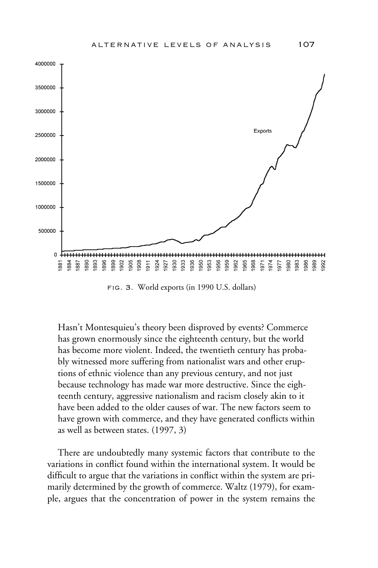

fig. 3. World exports (in 1990 U.S. dollars)

Hasn't Montesquieu's theory been disproved by events? Commerce has grown enormously since the eighteenth century, but the world has become more violent. Indeed, the twentieth century has probably witnessed more suffering from nationalist wars and other eruptions of ethnic violence than any previous century, and not just because technology has made war more destructive. Since the eighteenth century, aggressive nationalism and racism closely akin to it have been added to the older causes of war. The new factors seem to have grown with commerce, and they have generated conflicts within as well as between states. (1997, 3)

There are undoubtedly many systemic factors that contribute to the variations in conflict found within the international system. It would be difficult to argue that the variations in conflict within the system are primarily determined by the growth of commerce. Waltz (1979), for example, argues that the concentration of power in the system remains the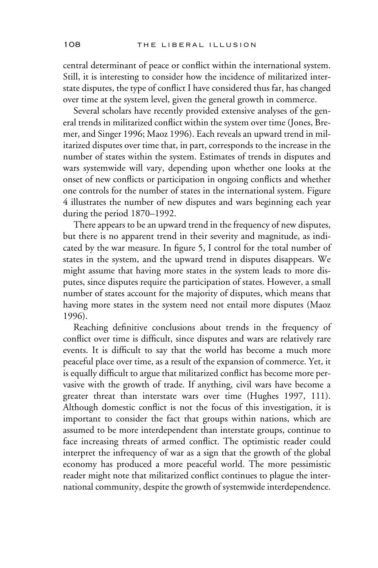central determinant of peace or conflict within the international system. Still, it is interesting to consider how the incidence of militarized interstate disputes, the type of conflict I have considered thus far, has changed over time at the system level, given the general growth in commerce.

Several scholars have recently provided extensive analyses of the general trends in militarized conflict within the system over time (Jones, Bremer, and Singer 1996; Maoz 1996). Each reveals an upward trend in militarized disputes over time that, in part, corresponds to the increase in the number of states within the system. Estimates of trends in disputes and wars systemwide will vary, depending upon whether one looks at the onset of new conflicts or participation in ongoing conflicts and whether one controls for the number of states in the international system. Figure 4 illustrates the number of new disputes and wars beginning each year during the period 1870–1992.

There appears to be an upward trend in the frequency of new disputes, but there is no apparent trend in their severity and magnitude, as indicated by the war measure. In figure 5, I control for the total number of states in the system, and the upward trend in disputes disappears. We might assume that having more states in the system leads to more disputes, since disputes require the participation of states. However, a small number of states account for the majority of disputes, which means that having more states in the system need not entail more disputes (Maoz 1996).

Reaching definitive conclusions about trends in the frequency of conflict over time is difficult, since disputes and wars are relatively rare events. It is difficult to say that the world has become a much more peaceful place over time, as a result of the expansion of commerce. Yet, it is equally difficult to argue that militarized conflict has become more pervasive with the growth of trade. If anything, civil wars have become a greater threat than interstate wars over time (Hughes 1997, 111). Although domestic conflict is not the focus of this investigation, it is important to consider the fact that groups within nations, which are assumed to be more interdependent than interstate groups, continue to face increasing threats of armed conflict. The optimistic reader could interpret the infrequency of war as a sign that the growth of the global economy has produced a more peaceful world. The more pessimistic reader might note that militarized conflict continues to plague the international community, despite the growth of systemwide interdependence.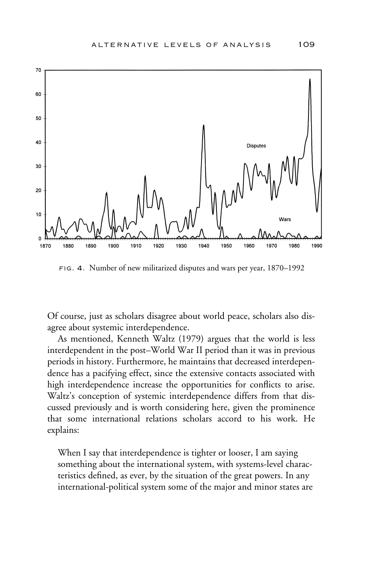

fig. 4. Number of new militarized disputes and wars per year, 1870–1992

Of course, just as scholars disagree about world peace, scholars also disagree about systemic interdependence.

As mentioned, Kenneth Waltz (1979) argues that the world is less interdependent in the post–World War II period than it was in previous periods in history. Furthermore, he maintains that decreased interdependence has a pacifying effect, since the extensive contacts associated with high interdependence increase the opportunities for conflicts to arise. Waltz's conception of systemic interdependence differs from that discussed previously and is worth considering here, given the prominence that some international relations scholars accord to his work. He explains:

When I say that interdependence is tighter or looser, I am saying something about the international system, with systems-level characteristics defined, as ever, by the situation of the great powers. In any international-political system some of the major and minor states are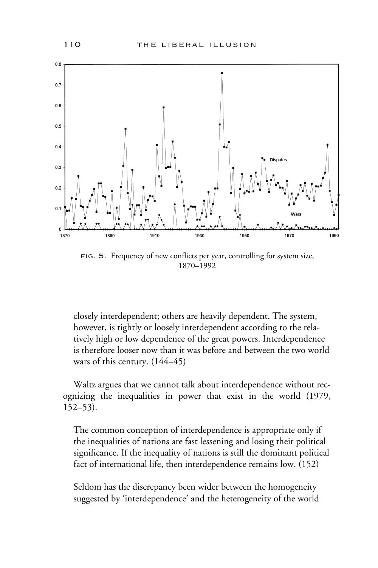

FIG. 5. Frequency of new conflicts per year, controlling for system size, 1870–1992

closely interdependent; others are heavily dependent. The system, however, is tightly or loosely interdependent according to the relatively high or low dependence of the great powers. Interdependence is therefore looser now than it was before and between the two world wars of this century. (144–45)

Waltz argues that we cannot talk about interdependence without recognizing the inequalities in power that exist in the world (1979, 152–53).

The common conception of interdependence is appropriate only if the inequalities of nations are fast lessening and losing their political significance. If the inequality of nations is still the dominant political fact of international life, then interdependence remains low. (152)

Seldom has the discrepancy been wider between the homogeneity suggested by 'interdependence' and the heterogeneity of the world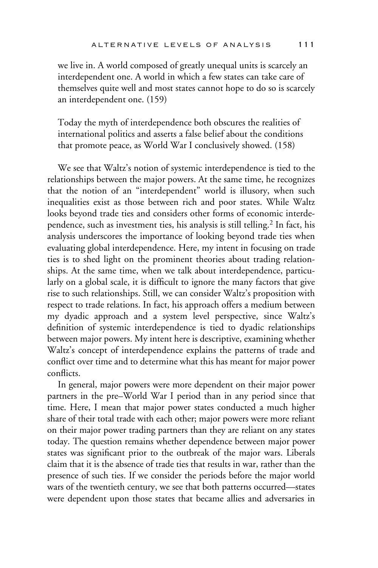we live in. A world composed of greatly unequal units is scarcely an interdependent one. A world in which a few states can take care of themselves quite well and most states cannot hope to do so is scarcely an interdependent one. (159)

Today the myth of interdependence both obscures the realities of international politics and asserts a false belief about the conditions that promote peace, as World War I conclusively showed. (158)

We see that Waltz's notion of systemic interdependence is tied to the relationships between the major powers. At the same time, he recognizes that the notion of an "interdependent" world is illusory, when such inequalities exist as those between rich and poor states. While Waltz looks beyond trade ties and considers other forms of economic interdependence, such as investment ties, his analysis is still telling.<sup>2</sup> In fact, his analysis underscores the importance of looking beyond trade ties when evaluating global interdependence. Here, my intent in focusing on trade ties is to shed light on the prominent theories about trading relationships. At the same time, when we talk about interdependence, particularly on a global scale, it is difficult to ignore the many factors that give rise to such relationships. Still, we can consider Waltz's proposition with respect to trade relations. In fact, his approach offers a medium between my dyadic approach and a system level perspective, since Waltz's definition of systemic interdependence is tied to dyadic relationships between major powers. My intent here is descriptive, examining whether Waltz's concept of interdependence explains the patterns of trade and conflict over time and to determine what this has meant for major power conflicts.

In general, major powers were more dependent on their major power partners in the pre–World War I period than in any period since that time. Here, I mean that major power states conducted a much higher share of their total trade with each other; major powers were more reliant on their major power trading partners than they are reliant on any states today. The question remains whether dependence between major power states was significant prior to the outbreak of the major wars. Liberals claim that it is the absence of trade ties that results in war, rather than the presence of such ties. If we consider the periods before the major world wars of the twentieth century, we see that both patterns occurred—states were dependent upon those states that became allies and adversaries in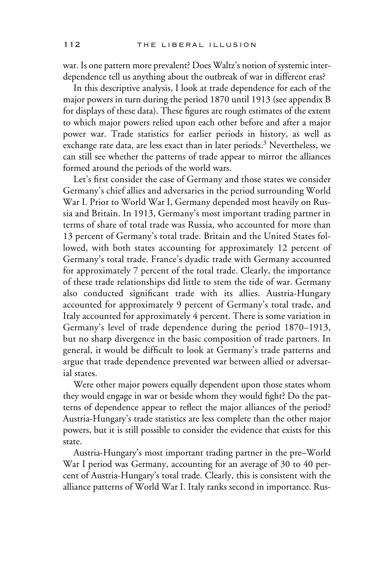war. Is one pattern more prevalent? Does Waltz's notion of systemic interdependence tell us anything about the outbreak of war in different eras?

In this descriptive analysis, I look at trade dependence for each of the major powers in turn during the period 1870 until 1913 (see appendix B for displays of these data). These figures are rough estimates of the extent to which major powers relied upon each other before and after a major power war. Trade statistics for earlier periods in history, as well as exchange rate data, are less exact than in later periods.<sup>3</sup> Nevertheless, we can still see whether the patterns of trade appear to mirror the alliances formed around the periods of the world wars.

Let's first consider the case of Germany and those states we consider Germany's chief allies and adversaries in the period surrounding World War I. Prior to World War I, Germany depended most heavily on Russia and Britain. In 1913, Germany's most important trading partner in terms of share of total trade was Russia, who accounted for more than 13 percent of Germany's total trade. Britain and the United States followed, with both states accounting for approximately 12 percent of Germany's total trade. France's dyadic trade with Germany accounted for approximately 7 percent of the total trade. Clearly, the importance of these trade relationships did little to stem the tide of war. Germany also conducted significant trade with its allies. Austria-Hungary accounted for approximately 9 percent of Germany's total trade, and Italy accounted for approximately 4 percent. There is some variation in Germany's level of trade dependence during the period 1870–1913, but no sharp divergence in the basic composition of trade partners. In general, it would be difficult to look at Germany's trade patterns and argue that trade dependence prevented war between allied or adversarial states.

Were other major powers equally dependent upon those states whom they would engage in war or beside whom they would fight? Do the patterns of dependence appear to reflect the major alliances of the period? Austria-Hungary's trade statistics are less complete than the other major powers, but it is still possible to consider the evidence that exists for this state.

Austria-Hungary's most important trading partner in the pre–World War I period was Germany, accounting for an average of 30 to 40 percent of Austria-Hungary's total trade. Clearly, this is consistent with the alliance patterns of World War I. Italy ranks second in importance. Rus-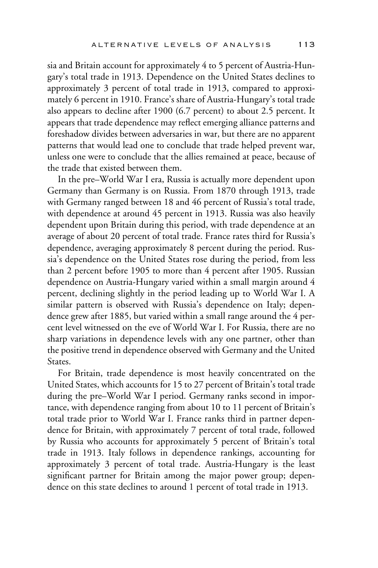sia and Britain account for approximately 4 to 5 percent of Austria-Hungary's total trade in 1913. Dependence on the United States declines to approximately 3 percent of total trade in 1913, compared to approximately 6 percent in 1910. France's share of Austria-Hungary's total trade also appears to decline after 1900 (6.7 percent) to about 2.5 percent. It appears that trade dependence may reflect emerging alliance patterns and foreshadow divides between adversaries in war, but there are no apparent patterns that would lead one to conclude that trade helped prevent war, unless one were to conclude that the allies remained at peace, because of the trade that existed between them.

In the pre–World War I era, Russia is actually more dependent upon Germany than Germany is on Russia. From 1870 through 1913, trade with Germany ranged between 18 and 46 percent of Russia's total trade, with dependence at around 45 percent in 1913. Russia was also heavily dependent upon Britain during this period, with trade dependence at an average of about 20 percent of total trade. France rates third for Russia's dependence, averaging approximately 8 percent during the period. Russia's dependence on the United States rose during the period, from less than 2 percent before 1905 to more than 4 percent after 1905. Russian dependence on Austria-Hungary varied within a small margin around 4 percent, declining slightly in the period leading up to World War I. A similar pattern is observed with Russia's dependence on Italy; dependence grew after 1885, but varied within a small range around the 4 percent level witnessed on the eve of World War I. For Russia, there are no sharp variations in dependence levels with any one partner, other than the positive trend in dependence observed with Germany and the United States.

For Britain, trade dependence is most heavily concentrated on the United States, which accounts for 15 to 27 percent of Britain's total trade during the pre–World War I period. Germany ranks second in importance, with dependence ranging from about 10 to 11 percent of Britain's total trade prior to World War I. France ranks third in partner dependence for Britain, with approximately 7 percent of total trade, followed by Russia who accounts for approximately 5 percent of Britain's total trade in 1913. Italy follows in dependence rankings, accounting for approximately 3 percent of total trade. Austria-Hungary is the least significant partner for Britain among the major power group; dependence on this state declines to around 1 percent of total trade in 1913.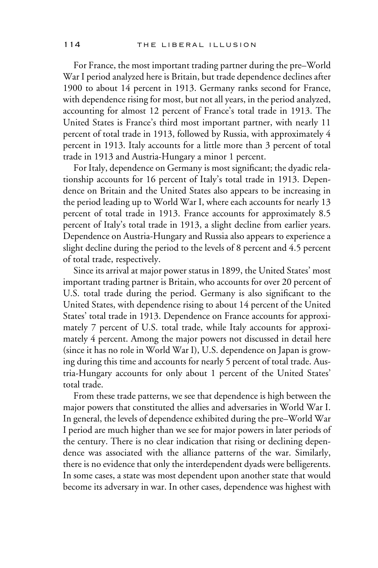For France, the most important trading partner during the pre–World War I period analyzed here is Britain, but trade dependence declines after 1900 to about 14 percent in 1913. Germany ranks second for France, with dependence rising for most, but not all years, in the period analyzed, accounting for almost 12 percent of France's total trade in 1913. The United States is France's third most important partner, with nearly 11 percent of total trade in 1913, followed by Russia, with approximately 4 percent in 1913. Italy accounts for a little more than 3 percent of total trade in 1913 and Austria-Hungary a minor 1 percent.

For Italy, dependence on Germany is most significant; the dyadic relationship accounts for 16 percent of Italy's total trade in 1913. Dependence on Britain and the United States also appears to be increasing in the period leading up to World War I, where each accounts for nearly 13 percent of total trade in 1913. France accounts for approximately 8.5 percent of Italy's total trade in 1913, a slight decline from earlier years. Dependence on Austria-Hungary and Russia also appears to experience a slight decline during the period to the levels of 8 percent and 4.5 percent of total trade, respectively.

Since its arrival at major power status in 1899, the United States' most important trading partner is Britain, who accounts for over 20 percent of U.S. total trade during the period. Germany is also significant to the United States, with dependence rising to about 14 percent of the United States' total trade in 1913. Dependence on France accounts for approximately 7 percent of U.S. total trade, while Italy accounts for approximately 4 percent. Among the major powers not discussed in detail here (since it has no role in World War I), U.S. dependence on Japan is growing during this time and accounts for nearly 5 percent of total trade. Austria-Hungary accounts for only about 1 percent of the United States' total trade.

From these trade patterns, we see that dependence is high between the major powers that constituted the allies and adversaries in World War I. In general, the levels of dependence exhibited during the pre–World War I period are much higher than we see for major powers in later periods of the century. There is no clear indication that rising or declining dependence was associated with the alliance patterns of the war. Similarly, there is no evidence that only the interdependent dyads were belligerents. In some cases, a state was most dependent upon another state that would become its adversary in war. In other cases, dependence was highest with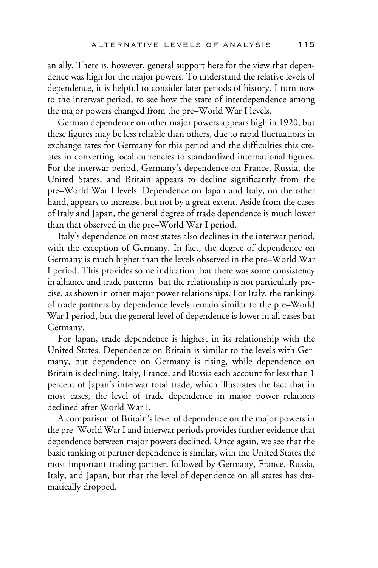an ally. There is, however, general support here for the view that dependence was high for the major powers. To understand the relative levels of dependence, it is helpful to consider later periods of history. I turn now to the interwar period, to see how the state of interdependence among the major powers changed from the pre–World War I levels.

German dependence on other major powers appears high in 1920, but these figures may be less reliable than others, due to rapid fluctuations in exchange rates for Germany for this period and the difficulties this creates in converting local currencies to standardized international figures. For the interwar period, Germany's dependence on France, Russia, the United States, and Britain appears to decline significantly from the pre–World War I levels. Dependence on Japan and Italy, on the other hand, appears to increase, but not by a great extent. Aside from the cases of Italy and Japan, the general degree of trade dependence is much lower than that observed in the pre–World War I period.

Italy's dependence on most states also declines in the interwar period, with the exception of Germany. In fact, the degree of dependence on Germany is much higher than the levels observed in the pre–World War I period. This provides some indication that there was some consistency in alliance and trade patterns, but the relationship is not particularly precise, as shown in other major power relationships. For Italy, the rankings of trade partners by dependence levels remain similar to the pre–World War I period, but the general level of dependence is lower in all cases but Germany.

For Japan, trade dependence is highest in its relationship with the United States. Dependence on Britain is similar to the levels with Germany, but dependence on Germany is rising, while dependence on Britain is declining. Italy, France, and Russia each account for less than 1 percent of Japan's interwar total trade, which illustrates the fact that in most cases, the level of trade dependence in major power relations declined after World War I.

A comparison of Britain's level of dependence on the major powers in the pre–World War I and interwar periods provides further evidence that dependence between major powers declined. Once again, we see that the basic ranking of partner dependence is similar, with the United States the most important trading partner, followed by Germany, France, Russia, Italy, and Japan, but that the level of dependence on all states has dramatically dropped.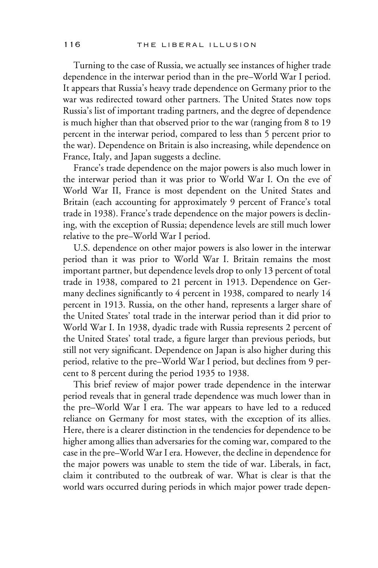Turning to the case of Russia, we actually see instances of higher trade dependence in the interwar period than in the pre–World War I period. It appears that Russia's heavy trade dependence on Germany prior to the war was redirected toward other partners. The United States now tops Russia's list of important trading partners, and the degree of dependence is much higher than that observed prior to the war (ranging from 8 to 19 percent in the interwar period, compared to less than 5 percent prior to the war). Dependence on Britain is also increasing, while dependence on France, Italy, and Japan suggests a decline.

France's trade dependence on the major powers is also much lower in the interwar period than it was prior to World War I. On the eve of World War II, France is most dependent on the United States and Britain (each accounting for approximately 9 percent of France's total trade in 1938). France's trade dependence on the major powers is declining, with the exception of Russia; dependence levels are still much lower relative to the pre–World War I period.

U.S. dependence on other major powers is also lower in the interwar period than it was prior to World War I. Britain remains the most important partner, but dependence levels drop to only 13 percent of total trade in 1938, compared to 21 percent in 1913. Dependence on Germany declines significantly to 4 percent in 1938, compared to nearly 14 percent in 1913. Russia, on the other hand, represents a larger share of the United States' total trade in the interwar period than it did prior to World War I. In 1938, dyadic trade with Russia represents 2 percent of the United States' total trade, a figure larger than previous periods, but still not very significant. Dependence on Japan is also higher during this period, relative to the pre–World War I period, but declines from 9 percent to 8 percent during the period 1935 to 1938.

This brief review of major power trade dependence in the interwar period reveals that in general trade dependence was much lower than in the pre–World War I era. The war appears to have led to a reduced reliance on Germany for most states, with the exception of its allies. Here, there is a clearer distinction in the tendencies for dependence to be higher among allies than adversaries for the coming war, compared to the case in the pre–World War I era. However, the decline in dependence for the major powers was unable to stem the tide of war. Liberals, in fact, claim it contributed to the outbreak of war. What is clear is that the world wars occurred during periods in which major power trade depen-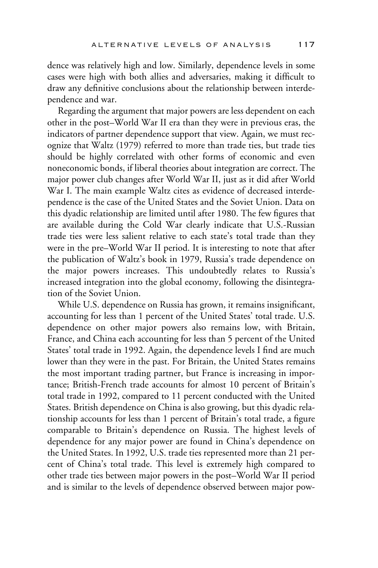dence was relatively high and low. Similarly, dependence levels in some cases were high with both allies and adversaries, making it difficult to draw any definitive conclusions about the relationship between interdependence and war.

Regarding the argument that major powers are less dependent on each other in the post–World War II era than they were in previous eras, the indicators of partner dependence support that view. Again, we must recognize that Waltz (1979) referred to more than trade ties, but trade ties should be highly correlated with other forms of economic and even noneconomic bonds, if liberal theories about integration are correct. The major power club changes after World War II, just as it did after World War I. The main example Waltz cites as evidence of decreased interdependence is the case of the United States and the Soviet Union. Data on this dyadic relationship are limited until after 1980. The few figures that are available during the Cold War clearly indicate that U.S.-Russian trade ties were less salient relative to each state's total trade than they were in the pre–World War II period. It is interesting to note that after the publication of Waltz's book in 1979, Russia's trade dependence on the major powers increases. This undoubtedly relates to Russia's increased integration into the global economy, following the disintegration of the Soviet Union.

While U.S. dependence on Russia has grown, it remains insignificant, accounting for less than 1 percent of the United States' total trade. U.S. dependence on other major powers also remains low, with Britain, France, and China each accounting for less than 5 percent of the United States' total trade in 1992. Again, the dependence levels I find are much lower than they were in the past. For Britain, the United States remains the most important trading partner, but France is increasing in importance; British-French trade accounts for almost 10 percent of Britain's total trade in 1992, compared to 11 percent conducted with the United States. British dependence on China is also growing, but this dyadic relationship accounts for less than 1 percent of Britain's total trade, a figure comparable to Britain's dependence on Russia. The highest levels of dependence for any major power are found in China's dependence on the United States. In 1992, U.S. trade ties represented more than 21 percent of China's total trade. This level is extremely high compared to other trade ties between major powers in the post–World War II period and is similar to the levels of dependence observed between major pow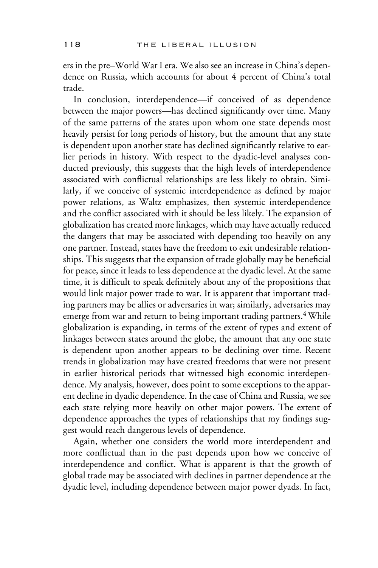ers in the pre–World War I era. We also see an increase in China's dependence on Russia, which accounts for about 4 percent of China's total trade.

In conclusion, interdependence—if conceived of as dependence between the major powers—has declined significantly over time. Many of the same patterns of the states upon whom one state depends most heavily persist for long periods of history, but the amount that any state is dependent upon another state has declined significantly relative to earlier periods in history. With respect to the dyadic-level analyses conducted previously, this suggests that the high levels of interdependence associated with conflictual relationships are less likely to obtain. Similarly, if we conceive of systemic interdependence as defined by major power relations, as Waltz emphasizes, then systemic interdependence and the conflict associated with it should be less likely. The expansion of globalization has created more linkages, which may have actually reduced the dangers that may be associated with depending too heavily on any one partner. Instead, states have the freedom to exit undesirable relationships. This suggests that the expansion of trade globally may be beneficial for peace, since it leads to less dependence at the dyadic level. At the same time, it is difficult to speak definitely about any of the propositions that would link major power trade to war. It is apparent that important trading partners may be allies or adversaries in war; similarly, adversaries may emerge from war and return to being important trading partners.<sup>4</sup> While globalization is expanding, in terms of the extent of types and extent of linkages between states around the globe, the amount that any one state is dependent upon another appears to be declining over time. Recent trends in globalization may have created freedoms that were not present in earlier historical periods that witnessed high economic interdependence. My analysis, however, does point to some exceptions to the apparent decline in dyadic dependence. In the case of China and Russia, we see each state relying more heavily on other major powers. The extent of dependence approaches the types of relationships that my findings suggest would reach dangerous levels of dependence.

Again, whether one considers the world more interdependent and more conflictual than in the past depends upon how we conceive of interdependence and conflict. What is apparent is that the growth of global trade may be associated with declines in partner dependence at the dyadic level, including dependence between major power dyads. In fact,